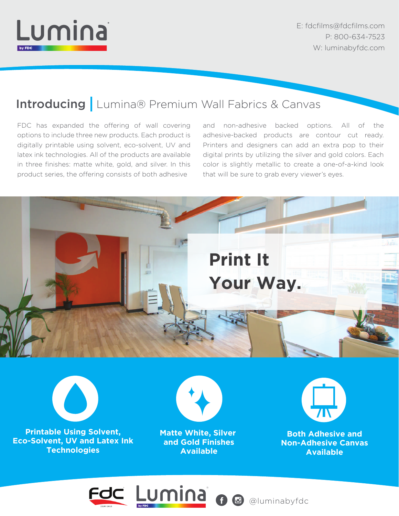

E: fdcfilms@fdcfilms.com P: 800-634-7523 W: luminabyfdc.com

# **Introducing** Lumina® Premium Wall Fabrics & Canvas

FDC has expanded the offering of wall covering options to include three new products. Each product is digitally printable using solvent, eco-solvent, UV and latex ink technologies. All of the products are available in three finishes: matte white, gold, and silver. In this product series, the offering consists of both adhesive

and non-adhesive backed options. All of the adhesive-backed products are contour cut ready. Printers and designers can add an extra pop to their digital prints by utilizing the silver and gold colors. Each color is slightly metallic to create a one-of-a-kind look that will be sure to grab every viewer's eyes.





**Matte White, Silver and Gold Finishes Available**



**Both Adhesive and Non-Adhesive Canvas Available**

@luminabyfdc

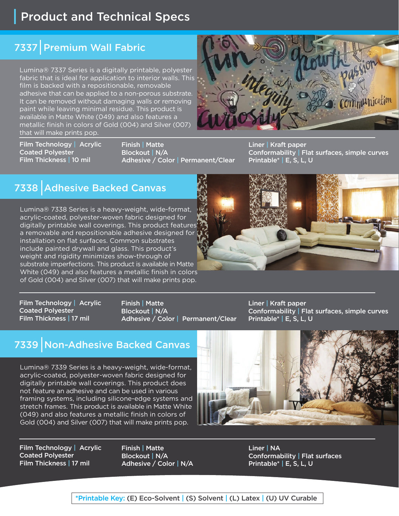## Product and Technical Specs

# 7337 Premium Wall Fabric

Lumina® 7337 Series is a digitally printable, polyester fabric that is ideal for application to interior walls. This film is backed with a repositionable, removable adhesive that can be applied to a non-porous substrate. It can be removed without damaging walls or removing paint while leaving minimal residue. This product is available in Matte White (049) and also features a metallic finish in colors of Gold (004) and Silver (007) that will make prints pop.



Film Technology | Acrylic Coated Polyester Film Thickness | 10 mil

Finish | Matte Blockout | N/A Adhesive / Color | Permanent/Clear

Liner | Kraft paper Conformability | Flat surfaces, simple curves Printable\* | E, S, L, U

# 7338 Adhesive Backed Canvas

Lumina® 7338 Series is a heavy-weight, wide-format, acrylic-coated, polyester-woven fabric designed for digitally printable wall coverings. This product features a removable and repositionable adhesive designed for installation on flat surfaces. Common substrates include painted drywall and glass. This product's weight and rigidity minimizes show-through of substrate imperfections. This product is available in Matte White (049) and also features a metallic finish in colors of Gold (004) and Silver (007) that will make prints pop.



Film Technology | Acrylic Coated Polyester Film Thickness | 17 mil

i

i

Finish | Matte Blockout | N/A Adhesive / Color | Permanent/Clear Liner | Kraft paper Conformability | Flat surfaces, simple curves Printable\* | E, S, L, U

## 7339 Non-Adhesive Backed Canvas

Lumina® 7339 Series is a heavy-weight, wide-format, acrylic-coated, polyester-woven fabric designed for digitally printable wall coverings. This product does not feature an adhesive and can be used in various framing systems, including silicone-edge systems and stretch frames. This product is available in Matte White (049) and also features a metallic finish in colors of Gold (004) and Silver (007) that will make prints pop.

Film Technology | Acrylic Coated Polyester Film Thickness | 17 mil

Finish | Matte Blockout | N/A Adhesive / Color | N/A



Liner | NA Conformability | Flat surfaces Printable\* | E, S, L, U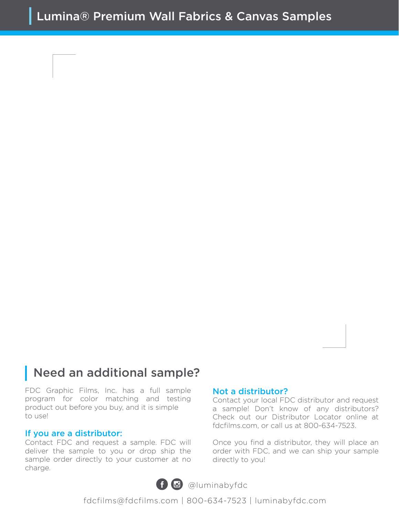## Need an additional sample?

FDC Graphic Films, Inc. has a full sample program for color matching and testing product out before you buy, and it is simple to use!

### If you are a distributor:

Contact FDC and request a sample. FDC will deliver the sample to you or drop ship the sample order directly to your customer at no charge.

#### Not a distributor?

Contact your local FDC distributor and request a sample! Don't know of any distributors? Check out our Distributor Locator online at fdcfilms.com, or call us at 800-634-7523.

Once you find a distributor, they will place an order with FDC, and we can ship your sample directly to you!



fdcfilms@fdcfilms.com | 800-634-7523 | luminabyfdc.com